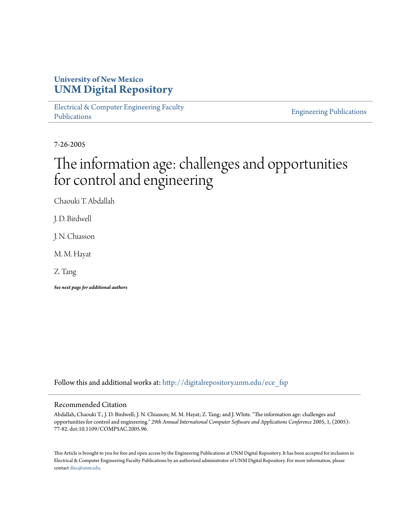# **University of New Mexico [UNM Digital Repository](http://digitalrepository.unm.edu?utm_source=digitalrepository.unm.edu%2Fece_fsp%2F176&utm_medium=PDF&utm_campaign=PDFCoverPages)**

[Electrical & Computer Engineering Faculty](http://digitalrepository.unm.edu/ece_fsp?utm_source=digitalrepository.unm.edu%2Fece_fsp%2F176&utm_medium=PDF&utm_campaign=PDFCoverPages) [Publications](http://digitalrepository.unm.edu/ece_fsp?utm_source=digitalrepository.unm.edu%2Fece_fsp%2F176&utm_medium=PDF&utm_campaign=PDFCoverPages)

[Engineering Publications](http://digitalrepository.unm.edu/eng_fsp?utm_source=digitalrepository.unm.edu%2Fece_fsp%2F176&utm_medium=PDF&utm_campaign=PDFCoverPages)

7-26-2005

# The information age: challenges and opportunities for control and engineering

Chaouki T. Abdallah

J. D. Birdwell

J. N. Chiasson

M. M. Hayat

Z. Tang

*See next page for additional authors*

Follow this and additional works at: [http://digitalrepository.unm.edu/ece\\_fsp](http://digitalrepository.unm.edu/ece_fsp?utm_source=digitalrepository.unm.edu%2Fece_fsp%2F176&utm_medium=PDF&utm_campaign=PDFCoverPages)

# Recommended Citation

Abdallah, Chaouki T.; J. D. Birdwell; J. N. Chiasson; M. M. Hayat; Z. Tang; and J. White. "The information age: challenges and opportunities for control and engineering." *29th Annual International Computer Software and Applications Conference* 2005, 1, (2005): 77-82. doi:10.1109/COMPSAC.2005.96.

This Article is brought to you for free and open access by the Engineering Publications at UNM Digital Repository. It has been accepted for inclusion in Electrical & Computer Engineering Faculty Publications by an authorized administrator of UNM Digital Repository. For more information, please contact [disc@unm.edu.](mailto:disc@unm.edu)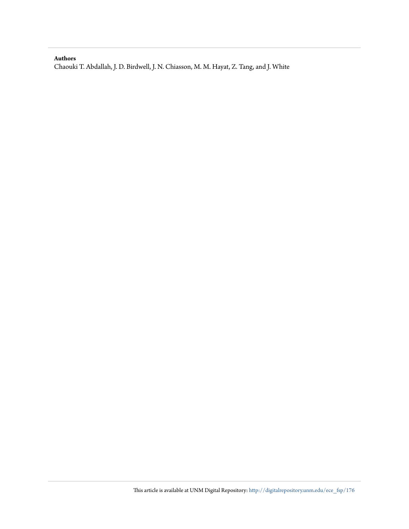#### **Authors**

Chaouki T. Abdallah, J. D. Birdwell, J. N. Chiasson, M. M. Hayat, Z. Tang, and J. White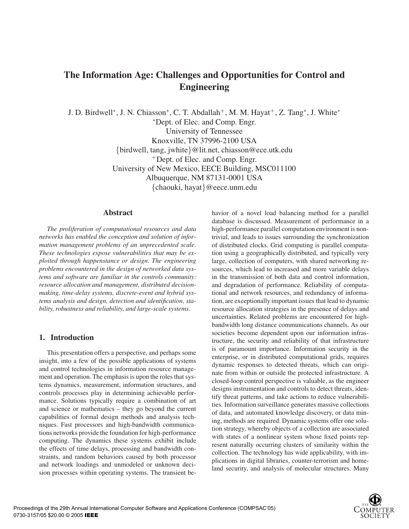# **The Information Age: Challenges and Opportunities for Control and Engineering**

J. D. Birdwell∗, J. N. Chiasson∗, C. T. Abdallah<sup>+</sup>, M. M. Hayat<sup>+</sup>, Z. Tang∗, J. White<sup>∗</sup> <sup>∗</sup>Dept. of Elec. and Comp. Engr. University of Tennessee Knoxville, TN 37996-2100 USA {birdwell, tang, jwhite}@lit.net, chiasson@ece.utk.edu <sup>+</sup>Dept. of Elec. and Comp. Engr. University of New Mexico, EECE Building, MSC011100 Albuquerque, NM 87131-0001 USA {chaouki, hayat}@eece.unm.edu

## **Abstract**

*The proliferation of computational resources and data networks has enabled the conception and solution of information management problems of an unprecedented scale. These technologies expose vulnerabilities that may be exploited through happenstance or design. The engineering problems encountered in the design of networked data systems and software are familiar in the controls community: resource allocation and management, distributed decisionmaking, time-delay systems, discrete-event and hybrid systems analysis and design, detection and identification, stability, robustness and reliability, and large-scale systems.*

# **1. Introduction**

This presentation offers a perspective, and perhaps some insight, into a few of the possible applications of systems and control technologies in information resource management and operation. The emphasis is upon the roles that systems dynamics, measurement, information structures, and controls processes play in determining achievable performance. Solutions typically require a combination of art and science or mathematics – they go beyond the current capabilities of formal design methods and analysis techniques. Fast processors and high-bandwidth communications networks provide the foundation for high-performance computing. The dynamics these systems exhibit include the effects of time delays, processing and bandwidth constraints, and random behaviors caused by both processor and network loadings and unmodeled or unknown decision processes within operating systems. The transient behavior of a novel load balancing method for a parallel database is discussed. Measurement of performance in a high-performance parallel computation environment is nontrivial, and leads to issues surrounding the synchronization of distributed clocks. Grid computing is parallel computation using a geographically distributed, and typically very large, collection of computers, with shared networking resources, which lead to increased and more variable delays in the transmission of both data and control information, and degradation of performance. Reliability of computational and network resources, and redundancy of information, are exceptionally important issues that lead to dynamic resource allocation strategies in the presence of delays and uncertainties. Related problems are encountered for highbandwidth long distance communications channels. As our societies become dependent upon our information infrastructure, the security and reliability of that infrastructure is of paramount importance. Information security in the enterprise, or in distributed computational grids, requires dynamic responses to detected threats, which can originate from within or outside the protected infrastructure. A closed-loop control perspective is valuable, as the engineer designs instrumentation and controls to detect threats, identify threat patterns, and take actions to reduce vulnerabilities. Information surveillance generates massive collections of data, and automated knowledge discovery, or data mining, methods are required. Dynamic systems offer one solution strategy, whereby objects of a collection are associated with states of a nonlinear system whose fixed points represent naturally occurring clusters of similarity within the collection. The technology has wide applicability, with implications in digital libraries, counter-terrorism and homeland security, and analysis of molecular structures. Many

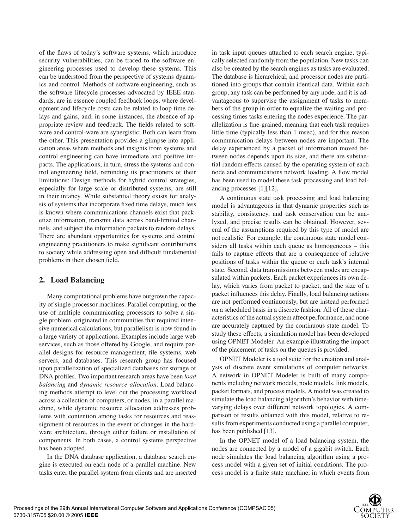of the flaws of today's software systems, which introduce security vulnerabilities, can be traced to the software engineering processes used to develop these systems. This can be understood from the perspective of systems dynamics and control. Methods of software engineering, such as the software lifecycle processes advocated by IEEE standards, are in essence coupled feedback loops, where development and lifecycle costs can be related to loop time delays and gains, and, in some instances, the absence of appropriate review and feedback. The fields related to software and control-ware are synergistic: Both can learn from the other. This presentation provides a glimpse into application areas where methods and insights from systems and control engineering can have immediate and positive impacts. The applications, in turn, stress the systems and control engineering field, reminding its practitioners of their limitations: Design methods for hybrid control strategies, especially for large scale or distributed systems, are still in their infancy. While substantial theory exists for analysis of systems that incorporate fixed time delays, much less is known where communications channels exist that packetize information, transmit data across band-limited channels, and subject the information packets to random delays. There are abundant opportunities for systems and control engineering practitioners to make significant contributions to society while addressing open and difficult fundamental problems in their chosen field.

# **2. Load Balancing**

Many computational problems have outgrown the capacity of single processor machines. Parallel computing, or the use of multiple communicating processors to solve a single problem, originated in communities that required intensive numerical calculations, but parallelism is now found in a large variety of applications. Examples include large web services, such as those offered by Google, and require parallel designs for resource management, file systems, web servers, and databases. This research group has focused upon parallelization of specialized databases for storage of DNA profiles. Two important research areas have been *load balancing* and *dynamic resource allocation*. Load balancing methods attempt to level out the processing workload across a collection of computers, or nodes, in a parallel machine, while dynamic resource allocation addresses problems with contention among tasks for resources and reassignment of resources in the event of changes in the hardware architecture, through either failure or installation of components. In both cases, a control systems perspective has been adopted.

In the DNA database application, a database search engine is executed on each node of a parallel machine. New tasks enter the parallel system from clients and are inserted

in task input queues attached to each search engine, typically selected randomly from the population. New tasks can also be created by the search engines as tasks are evaluated. The database is hierarchical, and processor nodes are partitioned into groups that contain identical data. Within each group, any task can be performed by any node, and it is advantageous to supervise the assignment of tasks to members of the group in order to equalize the waiting and processing times tasks entering the nodes experience. The parallelization is fine-grained, meaning that each task requires little time (typically less than 1 msec), and for this reason communication delays between nodes are important. The delay experienced by a packet of information moved between nodes depends upon its size, and there are substantial random effects caused by the operating system of each node and communications network loading. A flow model has been used to model these task processing and load balancing processes [1][12].

A continuous state task processing and load balancing model is advantageous in that dynamic properties such as stability, consistency, and task conservation can be analyzed, and precise results can be obtained. However, several of the assumptions required by this type of model are not realistic. For example, the continuous state model considers all tasks within each queue as homogeneous – this fails to capture effects that are a consequence of relative positions of tasks within the queue or each task's internal state. Second, data transmissions between nodes are encapsulated within packets. Each packet experiences its own delay, which varies from packet to packet, and the size of a packet influences this delay. Finally, load balancing actions are not performed continuously, but are instead performed on a scheduled basis in a discrete fashion. All of these characteristics of the actual system affect performance, and none are accurately captured by the continuous state model. To study these effects, a simulation model has been developed using OPNET Modeler. An example illustrating the impact of the placement of tasks on the queues is provided.

OPNET Modeler is a tool suite for the creation and analysis of discrete event simulations of computer networks. A network in OPNET Modeler is built of many components including network models, node models, link models, packet formats, and process models. A model was created to simulate the load balancing algorithm's behavior with timevarying delays over different network topologies. A comparison of results obtained with this model, relative to results from experiments conducted using a parallel computer, has been published [13].

In the OPNET model of a load balancing system, the nodes are connected by a model of a gigabit switch. Each node simulates the load balancing algorithm using a process model with a given set of initial conditions. The process model is a finite state machine, in which events from

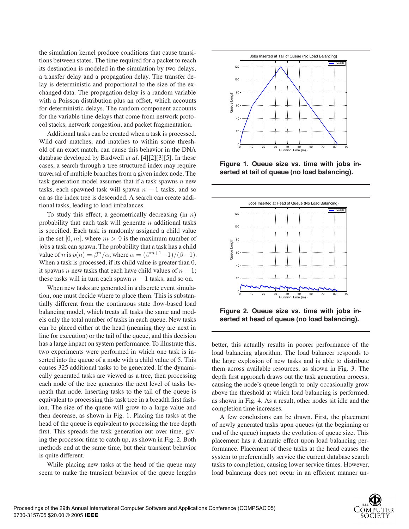the simulation kernel produce conditions that cause transitions between states. The time required for a packet to reach its destination is modeled in the simulation by two delays, a transfer delay and a propagation delay. The transfer delay is deterministic and proportional to the size of the exchanged data. The propagation delay is a random variable with a Poisson distribution plus an offset, which accounts for deterministic delays. The random component accounts for the variable time delays that come from network protocol stacks, network congestion, and packet fragmentation.

Additional tasks can be created when a task is processed. Wild card matches, and matches to within some threshold of an exact match, can cause this behavior in the DNA database developed by Birdwell *et al.* [4][2][3][5]. In these cases, a search through a tree structured index may require traversal of multiple branches from a given index node. The task generation model assumes that if a task spawns  $n$  new tasks, each spawned task will spawn  $n - 1$  tasks, and so on as the index tree is descended. A search can create additional tasks, leading to load imbalances.

To study this effect, a geometrically decreasing  $(in n)$ probability that each task will generate  $n$  additional tasks is specified. Each task is randomly assigned a child value in the set  $[0, m]$ , where  $m > 0$  is the maximum number of jobs a task can spawn. The probability that a task has a child value of n is  $p(n) = \beta^{n}/\alpha$ , where  $\alpha = (\beta^{m+1}-1)/(\beta-1)$ . When a task is processed, if its child value is greater than  $0$ , it spawns *n* new tasks that each have child values of  $n - 1$ ; these tasks will in turn each spawn  $n - 1$  tasks, and so on.

When new tasks are generated in a discrete event simulation, one must decide where to place them. This is substantially different from the continuous state flow-based load balancing model, which treats all tasks the same and models only the total number of tasks in each queue. New tasks can be placed either at the head (meaning they are next in line for execution) or the tail of the queue, and this decision has a large impact on system performance. To illustrate this, two experiments were performed in which one task is inserted into the queue of a node with a child value of 5. This causes 325 additional tasks to be generated. If the dynamically generated tasks are viewed as a tree, then processing each node of the tree generates the next level of tasks beneath that node. Inserting tasks to the tail of the queue is equivalent to processing this task tree in a breadth first fashion. The size of the queue will grow to a large value and then decrease, as shown in Fig. 1. Placing the tasks at the head of the queue is equivalent to processing the tree depth first. This spreads the task generation out over time, giving the processor time to catch up, as shown in Fig. 2. Both methods end at the same time, but their transient behavior is quite different.

While placing new tasks at the head of the queue may seem to make the transient behavior of the queue lengths



**Figure 1. Queue size vs. time with jobs inserted at tail of queue (no load balancing).**



**Figure 2. Queue size vs. time with jobs inserted at head of queue (no load balancing).**

better, this actually results in poorer performance of the load balancing algorithm. The load balancer responds to the large explosion of new tasks and is able to distribute them across available resources, as shown in Fig. 3. The depth first approach draws out the task generation process, causing the node's queue length to only occasionally grow above the threshold at which load balancing is performed, as shown in Fig. 4. As a result, other nodes sit idle and the completion time increases.

A few conclusions can be drawn. First, the placement of newly generated tasks upon queues (at the beginning or end of the queue) impacts the evolution of queue size. This placement has a dramatic effect upon load balancing performance. Placement of these tasks at the head causes the system to preferentially service the current database search tasks to completion, causing lower service times. However, load balancing does not occur in an efficient manner un-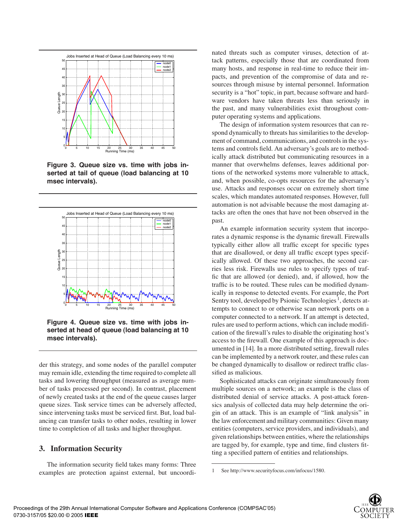

**Figure 3. Queue size vs. time with jobs inserted at tail of queue (load balancing at 10 msec intervals).**



**Figure 4. Queue size vs. time with jobs inserted at head of queue (load balancing at 10 msec intervals).**

der this strategy, and some nodes of the parallel computer may remain idle, extending the time required to complete all tasks and lowering throughput (measured as average number of tasks processed per second). In contrast, placement of newly created tasks at the end of the queue causes larger queue sizes. Task service times can be adversely affected, since intervening tasks must be serviced first. But, load balancing can transfer tasks to other nodes, resulting in lower time to completion of all tasks and higher throughput.

## **3. Information Security**

The information security field takes many forms: Three examples are protection against external, but uncoordinated threats such as computer viruses, detection of attack patterns, especially those that are coordinated from many hosts, and response in real-time to reduce their impacts, and prevention of the compromise of data and resources through misuse by internal personnel. Information security is a "hot" topic, in part, because software and hardware vendors have taken threats less than seriously in the past, and many vulnerabilities exist throughout computer operating systems and applications.

The design of information system resources that can respond dynamically to threats has similarities to the development of command, communications, and controls in the systems and controls field. An adversary's goals are to methodically attack distributed but communicating resources in a manner that overwhelms defenses, leaves additional portions of the networked systems more vulnerable to attack, and, when possible, co-opts resources for the adversary's use. Attacks and responses occur on extremely short time scales, which mandates automated responses. However, full automation is not advisable because the most damaging attacks are often the ones that have not been observed in the past.

An example information security system that incorporates a dynamic response is the dynamic firewall. Firewalls typically either allow all traffic except for specific types that are disallowed, or deny all traffic except types specifically allowed. Of these two approaches, the second carries less risk. Firewalls use rules to specify types of traffic that are allowed (or denied), and, if allowed, how the traffic is to be routed. These rules can be modified dynamically in response to detected events. For example, the Port Sentry tool, developed by Psionic Technologies<sup>1</sup>, detects attempts to connect to or otherwise scan network ports on a computer connected to a network. If an attempt is detected, rules are used to perform actions, which can include modification of the firewall's rules to disable the originating host's access to the firewall. One example of this approach is documented in [14]. In a more distributed setting, firewall rules can be implemented by a network router, and these rules can be changed dynamically to disallow or redirect traffic classified as malicious.

Sophisticated attacks can originate simultaneously from multiple sources on a network; an example is the class of distributed denial of service attacks. A post-attack forensics analysis of collected data may help determine the origin of an attack. This is an example of "link analysis" in the law enforcement and military communities: Given many entities (computers, service providers, and individuals), and given relationships between entities, where the relationships are tagged by, for example, type and time, find clusters fitting a specified pattern of entities and relationships.



See http://www.securityfocus.com/infocus/1580.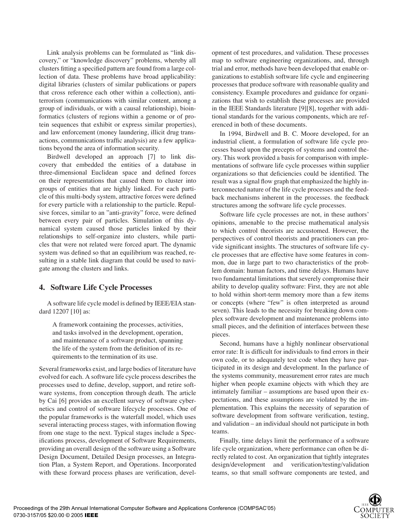Link analysis problems can be formulated as "link discovery," or "knowledge discovery" problems, whereby all clusters fitting a specified pattern are found from a large collection of data. These problems have broad applicability: digital libraries (clusters of similar publications or papers that cross reference each other within a collection), antiterrorism (communications with similar content, among a group of individuals, or with a causal relationship), bioinformatics (clusters of regions within a genome or of protein sequences that exhibit or express similar properties), and law enforcement (money laundering, illicit drug transactions, communications traffic analysis) are a few applications beyond the area of information security.

Birdwell developed an approach [7] to link discovery that embedded the entities of a database in three-dimensional Euclidean space and defined forces on their representations that caused them to cluster into groups of entities that are highly linked. For each particle of this multi-body system, attractive forces were defined for every particle with a relationship to the particle. Repulsive forces, similar to an "anti-gravity" force, were defined between every pair of particles. Simulation of this dynamical system caused those particles linked by their relationships to self-organize into clusters, while particles that were not related were forced apart. The dynamic system was defined so that an equilibrium was reached, resulting in a stable link diagram that could be used to navigate among the clusters and links.

## **4. Software Life Cycle Processes**

A software life cycle model is defined by IEEE/EIA standard 12207 [10] as:

A framework containing the processes, activities, and tasks involved in the development, operation, and maintenance of a software product, spanning the life of the system from the definition of its requirements to the termination of its use.

Several frameworks exist, and large bodies of literature have evolved for each. A software life cycle process describes the processes used to define, develop, support, and retire software systems, from conception through death. The article by Cai [6] provides an excellent survey of software cybernetics and control of software lifecycle processes. One of the popular frameworks is the waterfall model, which uses several interacting process stages, with information flowing from one stage to the next. Typical stages include a Specifications process, development of Software Requirements, providing an overall design of the software using a Software Design Document, Detailed Design processes, an Integration Plan, a System Report, and Operations. Incorporated with these forward process phases are verification, development of test procedures, and validation. These processes map to software engineering organizations, and, through trial and error, methods have been developed that enable organizations to establish software life cycle and engineering processes that produce software with reasonable quality and consistency. Example procedures and guidance for organizations that wish to establish these processes are provided in the IEEE Standards literature [9][8], together with additional standards for the various components, which are referenced in both of these documents.

In 1994, Birdwell and B. C. Moore developed, for an industrial client, a formulation of software life cycle processes based upon the precepts of systems and control theory. This work provided a basis for comparison with implementations of software life cycle processes within supplier organizations so that deficiencies could be identified. The result was a signal flow graph that emphasized the highly interconnected nature of the life cycle processes and the feedback mechanisms inherent in the processes. the feedback structures among the software life cycle processes.

Software life cycle processes are not, in these authors' opinions, amenable to the precise mathematical analysis to which control theorists are accustomed. However, the perspectives of control theorists and practitioners can provide significant insights. The structures of software life cycle processes that are effective have some features in common, due in large part to two characteristics of the problem domain: human factors, and time delays. Humans have two fundamental limitations that severely compromise their ability to develop quality software: First, they are not able to hold within short-term memory more than a few items or concepts (where "few" is often interpreted as around seven). This leads to the necessity for breaking down complex software development and maintenance problems into small pieces, and the definition of interfaces between these pieces.

Second, humans have a highly nonlinear observational error rate: It is difficult for individuals to find errors in their own code, or to adequately test code when they have participated in its design and development. In the parlance of the systems community, measurement error rates are much higher when people examine objects with which they are intimately familiar – assumptions are based upon their expectations, and these assumptions are violated by the implementation. This explains the necessity of separation of software development from software verification, testing, and validation – an individual should not participate in both teams.

Finally, time delays limit the performance of a software life cycle organization, where performance can often be directly related to cost. An organization that tightly integrates design/development and verification/testing/validation teams, so that small software components are tested, and